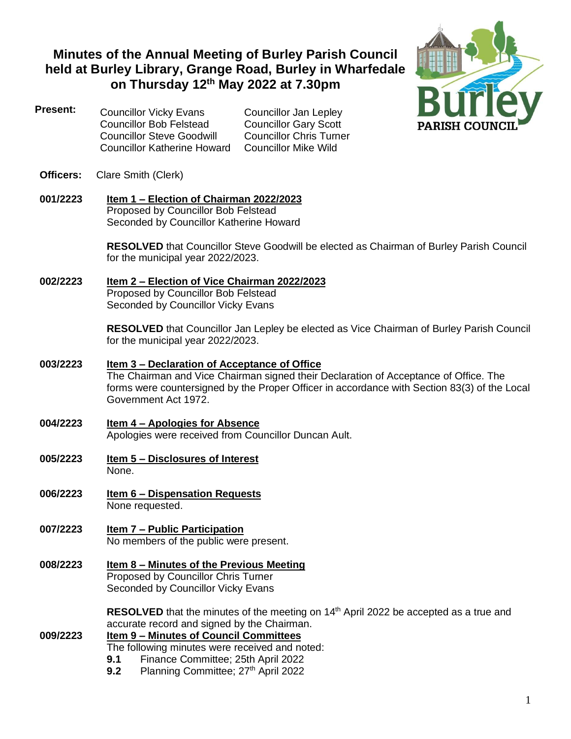# **Minutes of the Annual Meeting of Burley Parish Council held at Burley Library, Grange Road, Burley in Wharfedale on Thursday 12th May 2022 at 7.30pm**



- **Present:** Councillor Vicky Evans Councillor Jan Lepley Councillor Bob Felstead Councillor Gary Scott Councillor Steve Goodwill Councillor Chris Turner<br>Councillor Katherine Howard Councillor Mike Wild Councillor Katherine Howard
- **Officers:** Clare Smith (Clerk)
- **001/2223 Item 1 – Election of Chairman 2022/2023** Proposed by Councillor Bob Felstead Seconded by Councillor Katherine Howard

**RESOLVED** that Councillor Steve Goodwill be elected as Chairman of Burley Parish Council for the municipal year 2022/2023.

**002/2223 Item 2 – Election of Vice Chairman 2022/2023** Proposed by Councillor Bob Felstead

Seconded by Councillor Vicky Evans

**RESOLVED** that Councillor Jan Lepley be elected as Vice Chairman of Burley Parish Council for the municipal year 2022/2023.

- **003/2223 Item 3 – Declaration of Acceptance of Office** The Chairman and Vice Chairman signed their Declaration of Acceptance of Office. The forms were countersigned by the Proper Officer in accordance with Section 83(3) of the Local Government Act 1972.
- **004/2223 Item 4 – Apologies for Absence** Apologies were received from Councillor Duncan Ault.
- **005/2223 Item 5 – Disclosures of Interest** None.
- **006/2223 Item 6 – Dispensation Requests** None requested.
- **007/2223 Item 7 – Public Participation** No members of the public were present.
- **008/2223 Item 8 – Minutes of the Previous Meeting** Proposed by Councillor Chris Turner Seconded by Councillor Vicky Evans

**RESOLVED** that the minutes of the meeting on 14<sup>th</sup> April 2022 be accepted as a true and accurate record and signed by the Chairman.

#### **009/2223 Item 9 – Minutes of Council Committees** The following minutes were received and noted:

- **9.1** Finance Committee; 25th April 2022
- **9.2** Planning Committee; 27<sup>th</sup> April 2022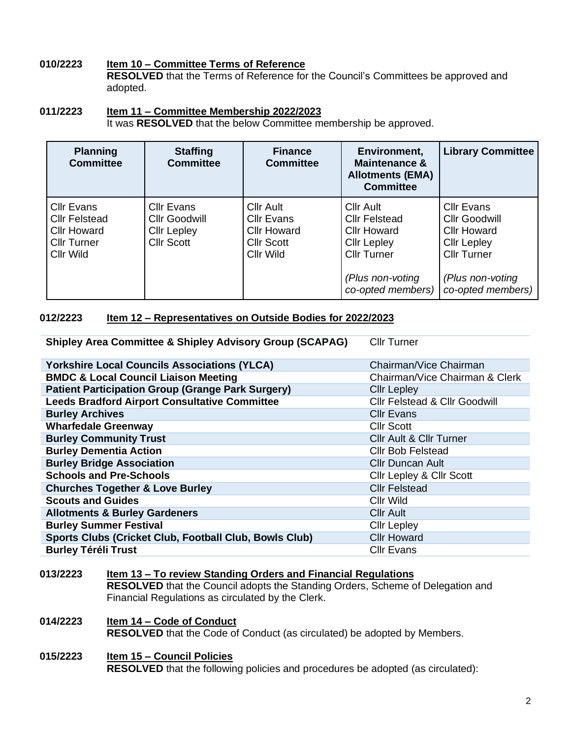# **010/2223 Item 10 – Committee Terms of Reference**

**RESOLVED** that the Terms of Reference for the Council's Committees be approved and adopted.

# **011/2223 Item 11 – Committee Membership 2022/2023**

It was **RESOLVED** that the below Committee membership be approved.

| <b>Planning</b><br><b>Committee</b>                                                                       | <b>Staffing</b><br><b>Committee</b>                                           | <b>Finance</b><br><b>Committee</b>                                                     | Environment,<br><b>Maintenance &amp;</b><br><b>Allotments (EMA)</b><br><b>Committee</b>                                                             | <b>Library Committee</b>                                                                                                               |
|-----------------------------------------------------------------------------------------------------------|-------------------------------------------------------------------------------|----------------------------------------------------------------------------------------|-----------------------------------------------------------------------------------------------------------------------------------------------------|----------------------------------------------------------------------------------------------------------------------------------------|
| <b>Cllr Evans</b><br><b>Cllr Felstead</b><br><b>Cllr Howard</b><br><b>Cllr Turner</b><br><b>CIIr Wild</b> | Cllr Evans<br><b>Cllr Goodwill</b><br><b>Cllr Lepley</b><br><b>Cllr Scott</b> | Cllr Ault<br><b>Cllr Evans</b><br><b>Cllr Howard</b><br><b>Cllr Scott</b><br>Cllr Wild | <b>Cllr Ault</b><br><b>Cllr Felstead</b><br><b>Cllr Howard</b><br><b>Cllr Lepley</b><br><b>Cllr Turner</b><br>(Plus non-voting<br>co-opted members) | Cllr Evans<br>Cllr Goodwill<br><b>Cllr Howard</b><br><b>Cllr Lepley</b><br><b>Cllr Turner</b><br>(Plus non-voting<br>co-opted members) |

# **012/2223 Item 12 – Representatives on Outside Bodies for 2022/2023**

**Shipley Area Committee & Shipley Advisory Group (SCAPAG)** Cllr Turner

| <b>Yorkshire Local Councils Associations (YLCA)</b>      | Chairman/Vice Chairman                   |  |
|----------------------------------------------------------|------------------------------------------|--|
| <b>BMDC &amp; Local Council Liaison Meeting</b>          | Chairman/Vice Chairman & Clerk           |  |
| <b>Patient Participation Group (Grange Park Surgery)</b> | <b>Cllr Lepley</b>                       |  |
| <b>Leeds Bradford Airport Consultative Committee</b>     | <b>Cllr Felstead &amp; Cllr Goodwill</b> |  |
| <b>Burley Archives</b>                                   | <b>Cllr Evans</b>                        |  |
| <b>Wharfedale Greenway</b>                               | <b>Cllr Scott</b>                        |  |
| <b>Burley Community Trust</b>                            | <b>Cllr Ault &amp; Cllr Turner</b>       |  |
| <b>Burley Dementia Action</b>                            | <b>Cllr Bob Felstead</b>                 |  |
| <b>Burley Bridge Association</b>                         | <b>Cllr Duncan Ault</b>                  |  |
| <b>Schools and Pre-Schools</b>                           | <b>Cllr Lepley &amp; Cllr Scott</b>      |  |
| <b>Churches Together &amp; Love Burley</b>               | <b>Cllr Felstead</b>                     |  |
| <b>Scouts and Guides</b>                                 | Cllr Wild                                |  |
| <b>Allotments &amp; Burley Gardeners</b>                 | <b>Cllr Ault</b>                         |  |
| <b>Burley Summer Festival</b>                            | <b>Cllr Lepley</b>                       |  |
| Sports Clubs (Cricket Club, Football Club, Bowls Club)   | <b>Cllr Howard</b>                       |  |
| <b>Burley Téréli Trust</b>                               | <b>Cllr Evans</b>                        |  |

#### **013/2223 Item 13 – To review Standing Orders and Financial Regulations RESOLVED** that the Council adopts the Standing Orders, Scheme of Delegation and Financial Regulations as circulated by the Clerk.

#### **014/2223 Item 14 – Code of Conduct RESOLVED** that the Code of Conduct (as circulated) be adopted by Members.

#### **015/2223 Item 15 – Council Policies RESOLVED** that the following policies and procedures be adopted (as circulated):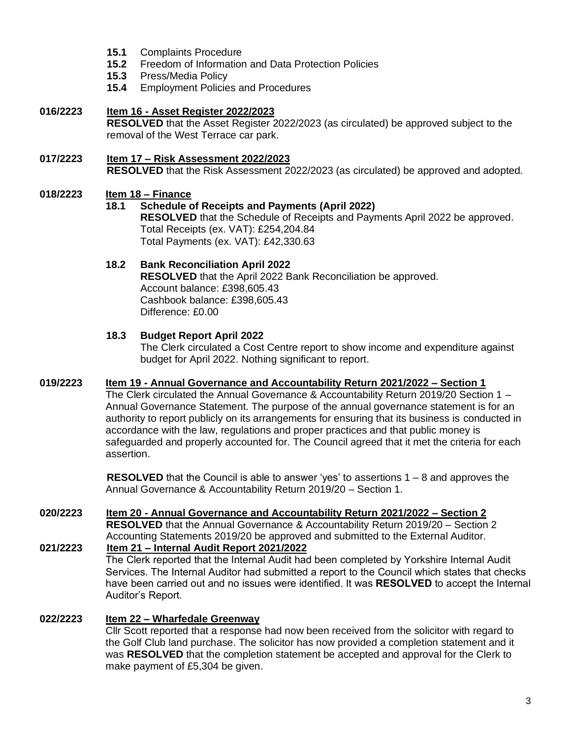- **15.1** Complaints Procedure
- **15.2** Freedom of Information and Data Protection Policies
- **15.3** Press/Media Policy
- **15.4** Employment Policies and Procedures
- **016/2223 Item 16 - Asset Register 2022/2023 RESOLVED** that the Asset Register 2022/2023 (as circulated) be approved subject to the removal of the West Terrace car park.
- **017/2223 Item 17 – Risk Assessment 2022/2023 RESOLVED** that the Risk Assessment 2022/2023 (as circulated) be approved and adopted.

# **018/2223 Item 18 – Finance**

# **18.1 Schedule of Receipts and Payments (April 2022)**

**RESOLVED** that the Schedule of Receipts and Payments April 2022 be approved. Total Receipts (ex. VAT): £254,204.84 Total Payments (ex. VAT): £42,330.63

**18.2 Bank Reconciliation April 2022 RESOLVED** that the April 2022 Bank Reconciliation be approved. Account balance: £398,605.43 Cashbook balance: £398,605.43 Difference: £0.00

### **18.3 Budget Report April 2022**

The Clerk circulated a Cost Centre report to show income and expenditure against budget for April 2022. Nothing significant to report.

#### **019/2223 Item 19 - Annual Governance and Accountability Return 2021/2022 – Section 1**

The Clerk circulated the Annual Governance & Accountability Return 2019/20 Section 1 – Annual Governance Statement. The purpose of the annual governance statement is for an authority to report publicly on its arrangements for ensuring that its business is conducted in accordance with the law, regulations and proper practices and that public money is safeguarded and properly accounted for. The Council agreed that it met the criteria for each assertion.

**RESOLVED** that the Council is able to answer 'yes' to assertions 1 – 8 and approves the Annual Governance & Accountability Return 2019/20 – Section 1.

# **020/2223 Item 20 - Annual Governance and Accountability Return 2021/2022 – Section 2 RESOLVED** that the Annual Governance & Accountability Return 2019/20 – Section 2 Accounting Statements 2019/20 be approved and submitted to the External Auditor. **021/2223 Item 21 – Internal Audit Report 2021/2022** The Clerk reported that the Internal Audit had been completed by Yorkshire Internal Audit

Services. The Internal Auditor had submitted a report to the Council which states that checks have been carried out and no issues were identified. It was **RESOLVED** to accept the Internal Auditor's Report.

# **022/2223 Item 22 – Wharfedale Greenway**

Cllr Scott reported that a response had now been received from the solicitor with regard to the Golf Club land purchase. The solicitor has now provided a completion statement and it was **RESOLVED** that the completion statement be accepted and approval for the Clerk to make payment of £5,304 be given.